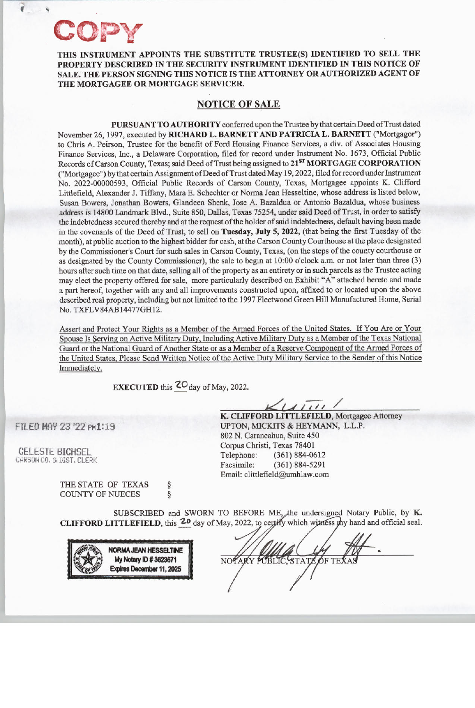**f** '

**THIS INSTRUMENT APPOINTS THE SUBSTITUTE TRUSTEE(S) IDENTIFIED TO SELL THE PROPERTY DESCRIBED** IN **THE SECURITY INSTRUMENT IDENTIFIED IN THIS NOTICE OF SALE. THE PERSON SIGNING THIS NOTICE IS THE ATTORNEY OR AUTHORIZED AGENT OF THE MORTGAGEE OR MORTGAGE SERVICER.** 

## **NOTICE OF SALE**

**PURSUANT TO AUTHORITY** conferred upon the Trustee by that certain Deed of Trust dated November 26, 1997, executed by **RICHARD L. BARNETT AND PATRICIA L. BARNETT** ("Mortgagor") to Chris A. Peirson, Trustee for the benefit of Ford Housing Finance Services, a div. of Associates Housing Finance Services, Inc., a Delaware Corporation, filed for record under Instrument No. 1673, Official Public Records of Carson County, Texas; said Deed of Trust being assigned to 21<sup>ST</sup> MORTGAGE CORPORATION ("Mortgagee") by that certain Assignment of Deed of Trust dated May 19, 2022, filed for record under Instrument No. 2022-00000593, Official Public Records of Carson County, Texas, Mortgagee appoints K. Clifford Littlefield, Alexander J. Tiffany, Mara E. Schechter or Norma Jean Hesseltine, whose address is listed below, Susan Bowers, Jonathan Bowers, Glandeen Shenk, Jose A. Bazaldua or Antonio Bazaldua, whose business address is 14800 Landmark Blvd., Suite 850, Dallas, Texas 75254, under said Deed of Trust, in order to satisfy the indebtedness secured thereby and at the request of the holder of said indebtedness, default having been made in the covenants of the Deed of Trust, to sell on **Tuesday, July 5, 2022,** (that being the first Tuesday of the month), at public auction to the highest bidder for cash, at the Carson County Courthouse at the place designated by the Commissioner's Court for such sales in Carson County, Texas, (on the steps of the county courthouse or as designated by the County Commissioner), the sale to begin at 10:00 o'clock a.m. or not later than three (3) hours after such time on that date, selling all of the property as an entirety or in such parcels as the Trustee acting may elect the property offered for sale, more particularly described on Exhibit "A" attached hereto and made a part hereof, together with any and all improvements constructed upon, affixed to or located upon the above described real property, including but not limited to the 1997 Fleetwood Green Hill Manufactured Home, Serial No. TXFLV84AB14477GH12.

Assert and Protect Your Rights as a Member of the Armed Forces of the United States. If You Are or Your Spouse Is Serving on Active Military Duty, Including Active Military Duty as a Member of the Texas National Guard or the National Guard of Another State or as a Member of a Reserve Component of the Armed Forces of the United States, Please Send Written Notice of the Active Duty Military Service to the Sender of this Notice Immediately.

**EXECUTED** this  ${}^{2}O_{\text{day}}$  of May, 2022.

FILED MAY 23 '22 PMl:19

**CELESTE BICHSEL** CARSON CO, & DIST, CLERK

> THE STATE OF TEXAS COUNTY OF NUECES § §

 $(1111)$ 

**K. CLIFFORD LITTLEFIELD,** Mortgagee Attorney UPTON, MICKITS & HEYMANN, L.L.P. 802 N. Carancahua, Suite 450 Corpus Christi, Texas 78401 Telephone: (361) 884-0612 Facsimile: (361) 884-5291 Email: clittlefield@urnhlaw.com

SUBSCRIBED and SWORN TO BEFORE ME, the undersigned Notary Public, by K. CLIFFORD LITTLEFIELD, this <sup>20</sup> day of May, 2022, to certify which witness thy hand and official seal.



.. STATE OF NOTARY PUBLIC